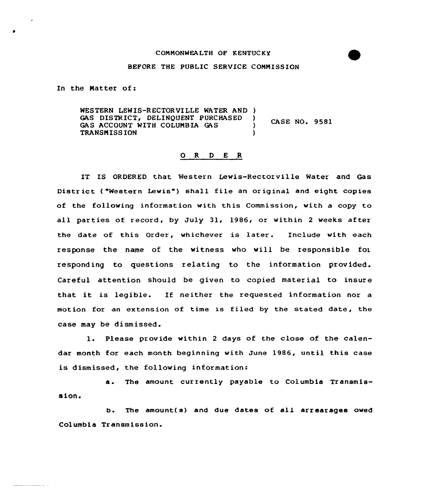## COMMONWEALTH OF KENTUCKY

## BEFORE THE PUBLIC SERVICE COMMISSION

In the Matter of:

WESTERN LEWIS-RECTORVILLE WATER AND ) GAS DISTRICT, DELINQUENT PURCHASED )<br>GAS ACCOUNT WITH COLUMBIA GAS **CASE NO. 9581** GAS ACCOUNT WITH COLUMBIA GAS
<sup>(1)</sup> TRANSMISS ION )

## O R D E R

IT IS ORDERED that Western Lewis-Rectorville Water and Gas District ("Western Lewis") shall file an original and eight copies of the following information with this Commission, with a copy to all parties of record, by July 31, 1986, or within 2 weeks after the date of this Order, whichever is later. Include with each response the name of the witness who will be responsible for responding to questions relating to the information provided. Careful attention should be given to copied material to insure that it is legible. If neither the requested information nor <sup>a</sup> motion for an extension of time is filed by the stated date, the case may be dismissed.

1. Please provide within <sup>2</sup> days of the close of the calendar month for each month beginning with June 1986, until this case is dismissed, the following information:

a. The amount currently payable to Columbia Transmission.

b. The amount(s) and due dates of all arrearages owed Columbia Transmission.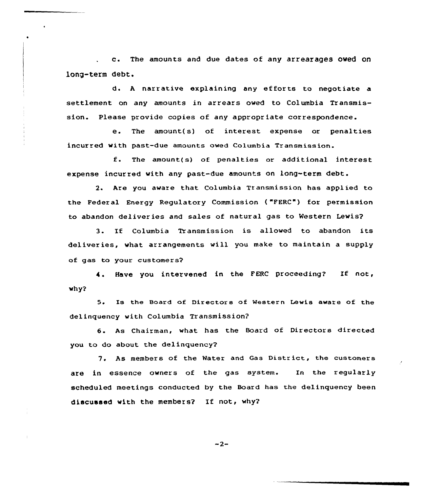c. The amounts and due dates of any arrearages owed on long-term debt.

d. <sup>A</sup> narrative explaining any efforts to negotiate settlement on any amounts in arrears oved to Columbia Transmission. Please provide copies of any appropriate correspondence.

e. The amount( s) of interest expense or penalties incurred with past-due amounts owed Columbia Transmission.

f. The amount{s} of penalties or additional interest expense incurred with any past-due amounts on long-term debt.

2. Are you aware that Columbia Transmission has applied to the Federal Energy Regulatory Commission {"FERC") for permission to abandon deliveries and sales of natural gas to Western Lewis?

3. If Columbia Transmission is allowed to abandon its deliveries, what arrangements vill you make to maintain a supply of gas to your customers'.

Have you intervened in the FERC proceeding? If not,  $why?$ 

5. Is the Board of Directors of Western Lewis aware of the delinquency with Columbia Transmission?

6. As Chairman, what has the Board of Directors directed you to do about the delinquency?

7. As members of the Water and Gas District, the customers are in essence owners of the gas system. In the regularly scheduled meetings conducted by the Board has the delinquency been discussed with the members? If not, why?

 $-2-$